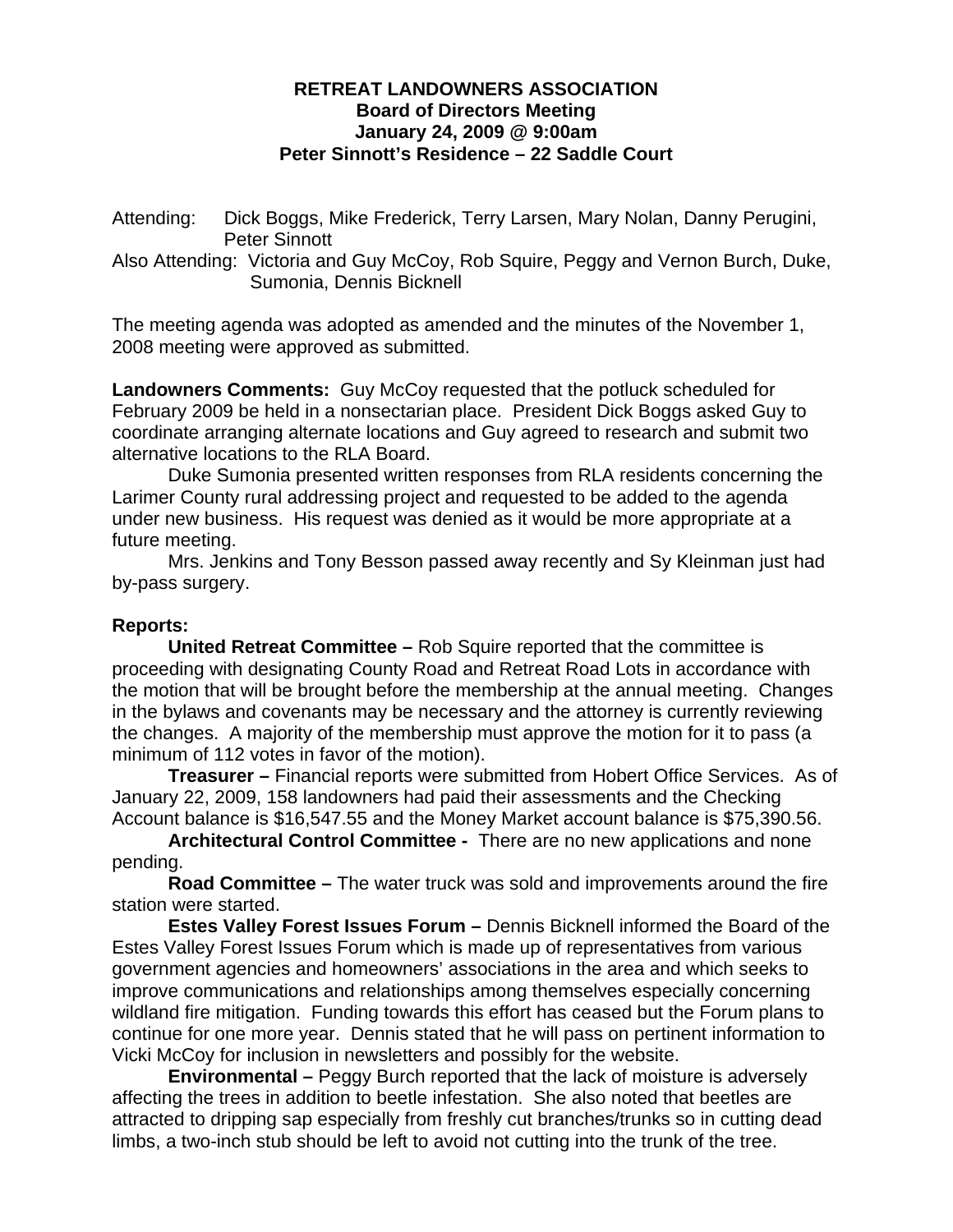# **RETREAT LANDOWNERS ASSOCIATION Board of Directors Meeting January 24, 2009 @ 9:00am Peter Sinnott's Residence – 22 Saddle Court**

Attending: Dick Boggs, Mike Frederick, Terry Larsen, Mary Nolan, Danny Perugini, Peter Sinnott

Also Attending: Victoria and Guy McCoy, Rob Squire, Peggy and Vernon Burch, Duke, Sumonia, Dennis Bicknell

The meeting agenda was adopted as amended and the minutes of the November 1, 2008 meeting were approved as submitted.

**Landowners Comments:** Guy McCoy requested that the potluck scheduled for February 2009 be held in a nonsectarian place. President Dick Boggs asked Guy to coordinate arranging alternate locations and Guy agreed to research and submit two alternative locations to the RLA Board.

 Duke Sumonia presented written responses from RLA residents concerning the Larimer County rural addressing project and requested to be added to the agenda under new business. His request was denied as it would be more appropriate at a future meeting.

 Mrs. Jenkins and Tony Besson passed away recently and Sy Kleinman just had by-pass surgery.

# **Reports:**

 **United Retreat Committee –** Rob Squire reported that the committee is proceeding with designating County Road and Retreat Road Lots in accordance with the motion that will be brought before the membership at the annual meeting. Changes in the bylaws and covenants may be necessary and the attorney is currently reviewing the changes. A majority of the membership must approve the motion for it to pass (a minimum of 112 votes in favor of the motion).

**Treasurer –** Financial reports were submitted from Hobert Office Services. As of January 22, 2009, 158 landowners had paid their assessments and the Checking Account balance is \$16,547.55 and the Money Market account balance is \$75,390.56.

**Architectural Control Committee -** There are no new applications and none pending.

**Road Committee –** The water truck was sold and improvements around the fire station were started.

**Estes Valley Forest Issues Forum –** Dennis Bicknell informed the Board of the Estes Valley Forest Issues Forum which is made up of representatives from various government agencies and homeowners' associations in the area and which seeks to improve communications and relationships among themselves especially concerning wildland fire mitigation. Funding towards this effort has ceased but the Forum plans to continue for one more year. Dennis stated that he will pass on pertinent information to Vicki McCoy for inclusion in newsletters and possibly for the website.

**Environmental –** Peggy Burch reported that the lack of moisture is adversely affecting the trees in addition to beetle infestation. She also noted that beetles are attracted to dripping sap especially from freshly cut branches/trunks so in cutting dead limbs, a two-inch stub should be left to avoid not cutting into the trunk of the tree.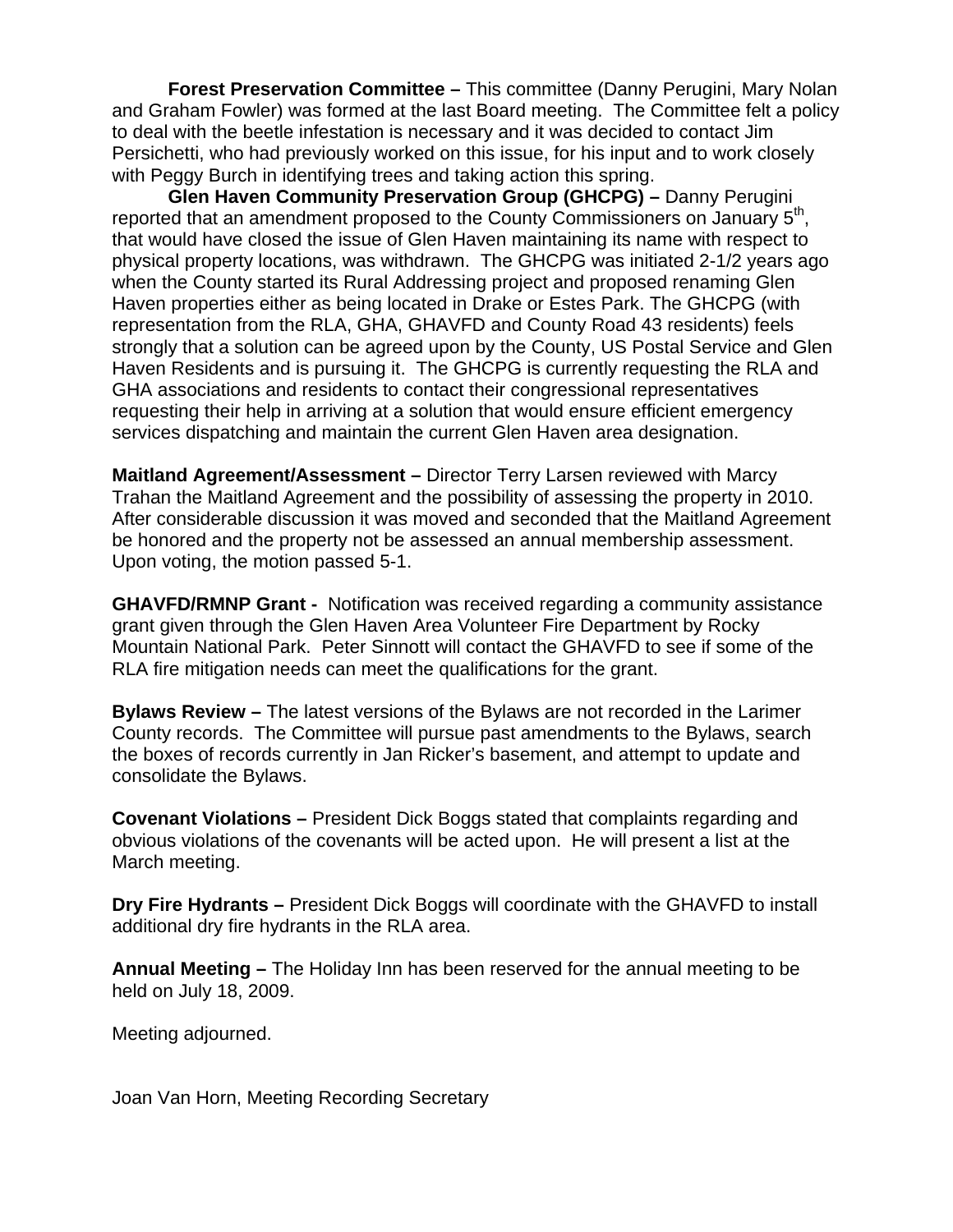**Forest Preservation Committee –** This committee (Danny Perugini, Mary Nolan and Graham Fowler) was formed at the last Board meeting. The Committee felt a policy to deal with the beetle infestation is necessary and it was decided to contact Jim Persichetti, who had previously worked on this issue, for his input and to work closely with Peggy Burch in identifying trees and taking action this spring.

**Glen Haven Community Preservation Group (GHCPG) –** Danny Perugini reported that an amendment proposed to the County Commissioners on January  $5<sup>th</sup>$ , that would have closed the issue of Glen Haven maintaining its name with respect to physical property locations, was withdrawn. The GHCPG was initiated 2-1/2 years ago when the County started its Rural Addressing project and proposed renaming Glen Haven properties either as being located in Drake or Estes Park. The GHCPG (with representation from the RLA, GHA, GHAVFD and County Road 43 residents) feels strongly that a solution can be agreed upon by the County, US Postal Service and Glen Haven Residents and is pursuing it. The GHCPG is currently requesting the RLA and GHA associations and residents to contact their congressional representatives requesting their help in arriving at a solution that would ensure efficient emergency services dispatching and maintain the current Glen Haven area designation.

**Maitland Agreement/Assessment –** Director Terry Larsen reviewed with Marcy Trahan the Maitland Agreement and the possibility of assessing the property in 2010. After considerable discussion it was moved and seconded that the Maitland Agreement be honored and the property not be assessed an annual membership assessment. Upon voting, the motion passed 5-1.

**GHAVFD/RMNP Grant -** Notification was received regarding a community assistance grant given through the Glen Haven Area Volunteer Fire Department by Rocky Mountain National Park. Peter Sinnott will contact the GHAVFD to see if some of the RLA fire mitigation needs can meet the qualifications for the grant.

**Bylaws Review –** The latest versions of the Bylaws are not recorded in the Larimer County records. The Committee will pursue past amendments to the Bylaws, search the boxes of records currently in Jan Ricker's basement, and attempt to update and consolidate the Bylaws.

**Covenant Violations –** President Dick Boggs stated that complaints regarding and obvious violations of the covenants will be acted upon. He will present a list at the March meeting.

**Dry Fire Hydrants –** President Dick Boggs will coordinate with the GHAVFD to install additional dry fire hydrants in the RLA area.

**Annual Meeting –** The Holiday Inn has been reserved for the annual meeting to be held on July 18, 2009.

Meeting adjourned.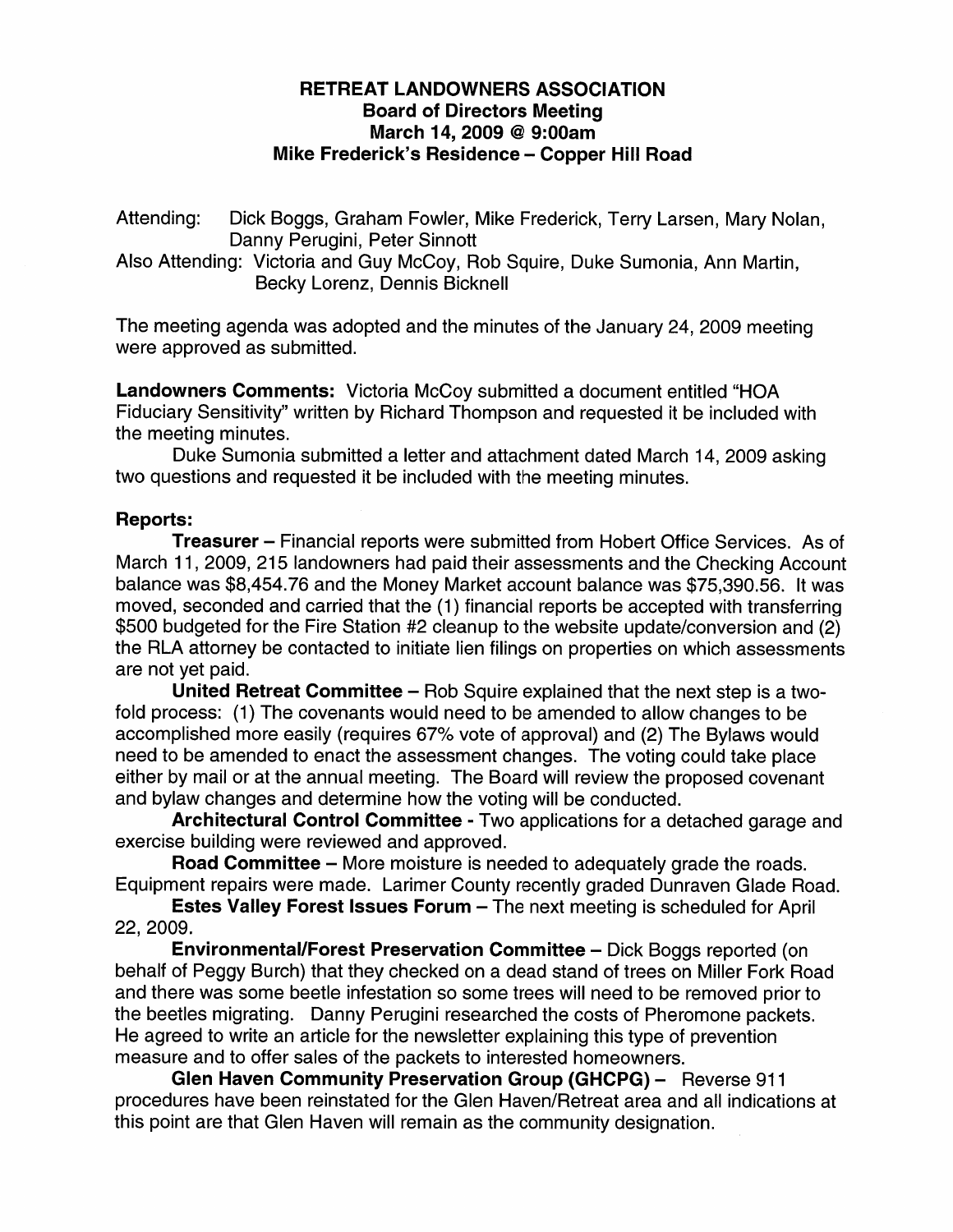# **RETREAT LANDOWNERS ASSOCIATION Board of Directors Meeting** March 14, 2009 @ 9:00am Mike Frederick's Residence - Copper Hill Road

Attending: Dick Boggs, Graham Fowler, Mike Frederick, Terry Larsen, Mary Nolan, Danny Perugini, Peter Sinnott Also Attending: Victoria and Guy McCoy, Rob Squire, Duke Sumonia, Ann Martin, Becky Lorenz, Dennis Bicknell

The meeting agenda was adopted and the minutes of the January 24, 2009 meeting were approved as submitted.

Landowners Comments: Victoria McCoy submitted a document entitled "HOA Fiduciary Sensitivity" written by Richard Thompson and requested it be included with the meeting minutes.

Duke Sumonia submitted a letter and attachment dated March 14, 2009 asking two questions and requested it be included with the meeting minutes.

# **Reports:**

**Treasurer** – Financial reports were submitted from Hobert Office Services. As of March 11, 2009, 215 landowners had paid their assessments and the Checking Account balance was \$8,454.76 and the Money Market account balance was \$75,390.56. It was moved, seconded and carried that the (1) financial reports be accepted with transferring \$500 budgeted for the Fire Station #2 cleanup to the website update/conversion and (2) the RLA attorney be contacted to initiate lien filings on properties on which assessments are not yet paid.

United Retreat Committee – Rob Squire explained that the next step is a twofold process: (1) The covenants would need to be amended to allow changes to be accomplished more easily (requires 67% vote of approval) and (2) The Bylaws would need to be amended to enact the assessment changes. The voting could take place either by mail or at the annual meeting. The Board will review the proposed covenant and bylaw changes and determine how the voting will be conducted.

Architectural Control Committee - Two applications for a detached garage and exercise building were reviewed and approved.

Road Committee - More moisture is needed to adequately grade the roads. Equipment repairs were made. Larimer County recently graded Dunraven Glade Road.

**Estes Valley Forest Issues Forum - The next meeting is scheduled for April** 22, 2009.

**Environmental/Forest Preservation Committee – Dick Boggs reported (on** behalf of Peggy Burch) that they checked on a dead stand of trees on Miller Fork Road and there was some beetle infestation so some trees will need to be removed prior to the beetles migrating. Danny Perugini researched the costs of Pheromone packets. He agreed to write an article for the newsletter explaining this type of prevention measure and to offer sales of the packets to interested homeowners.

Glen Haven Community Preservation Group (GHCPG) - Reverse 911 procedures have been reinstated for the Glen Haven/Retreat area and all indications at this point are that Glen Haven will remain as the community designation.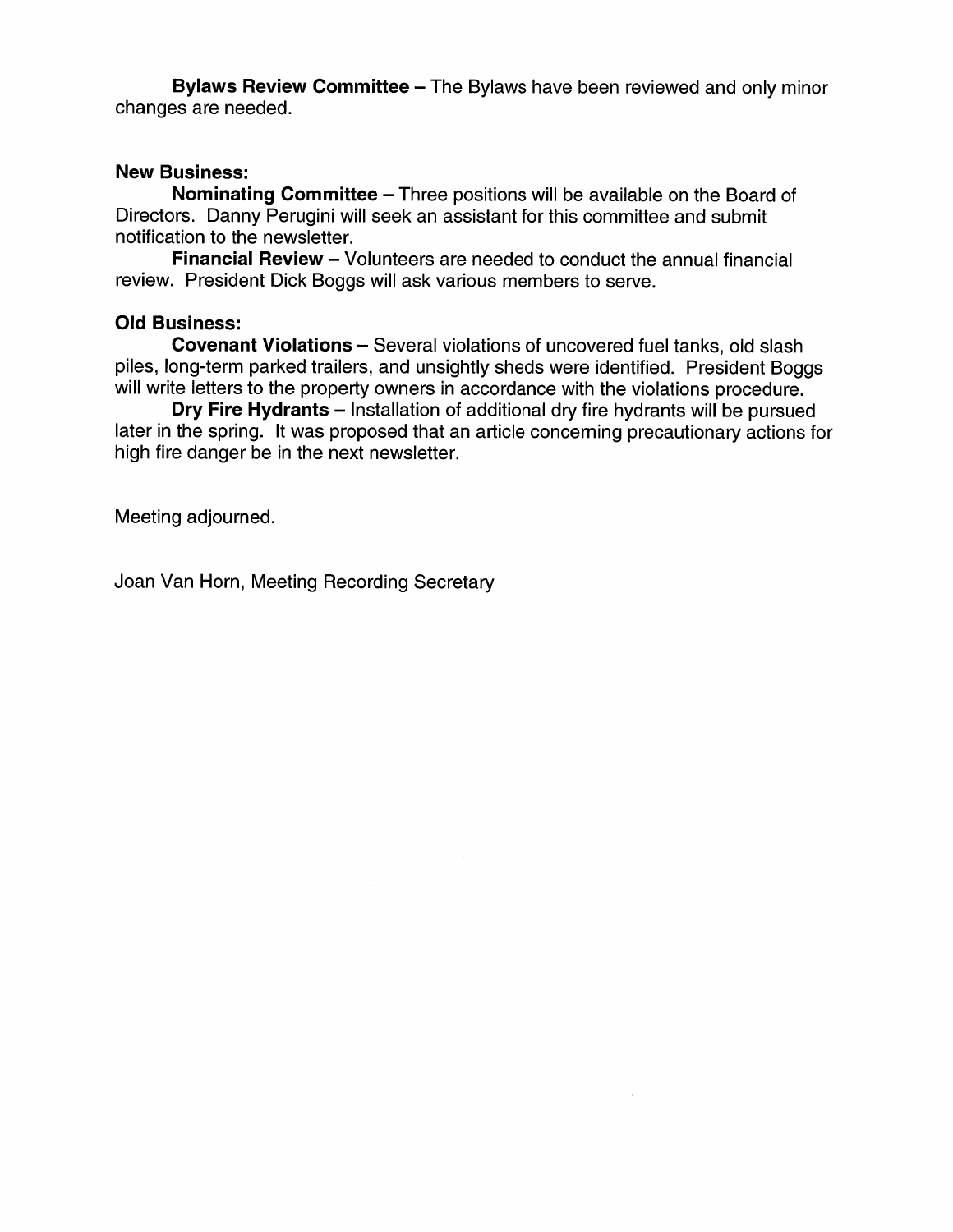**Bylaws Review Committee – The Bylaws have been reviewed and only minor** changes are needed.

# **New Business:**

Nominating Committee - Three positions will be available on the Board of Directors. Danny Perugini will seek an assistant for this committee and submit notification to the newsletter.

Financial Review - Volunteers are needed to conduct the annual financial review. President Dick Boggs will ask various members to serve.

## **Old Business:**

**Covenant Violations - Several violations of uncovered fuel tanks, old slash** piles, long-term parked trailers, and unsightly sheds were identified. President Boggs will write letters to the property owners in accordance with the violations procedure.

Dry Fire Hydrants - Installation of additional dry fire hydrants will be pursued later in the spring. It was proposed that an article concerning precautionary actions for high fire danger be in the next newsletter.

Meeting adjourned.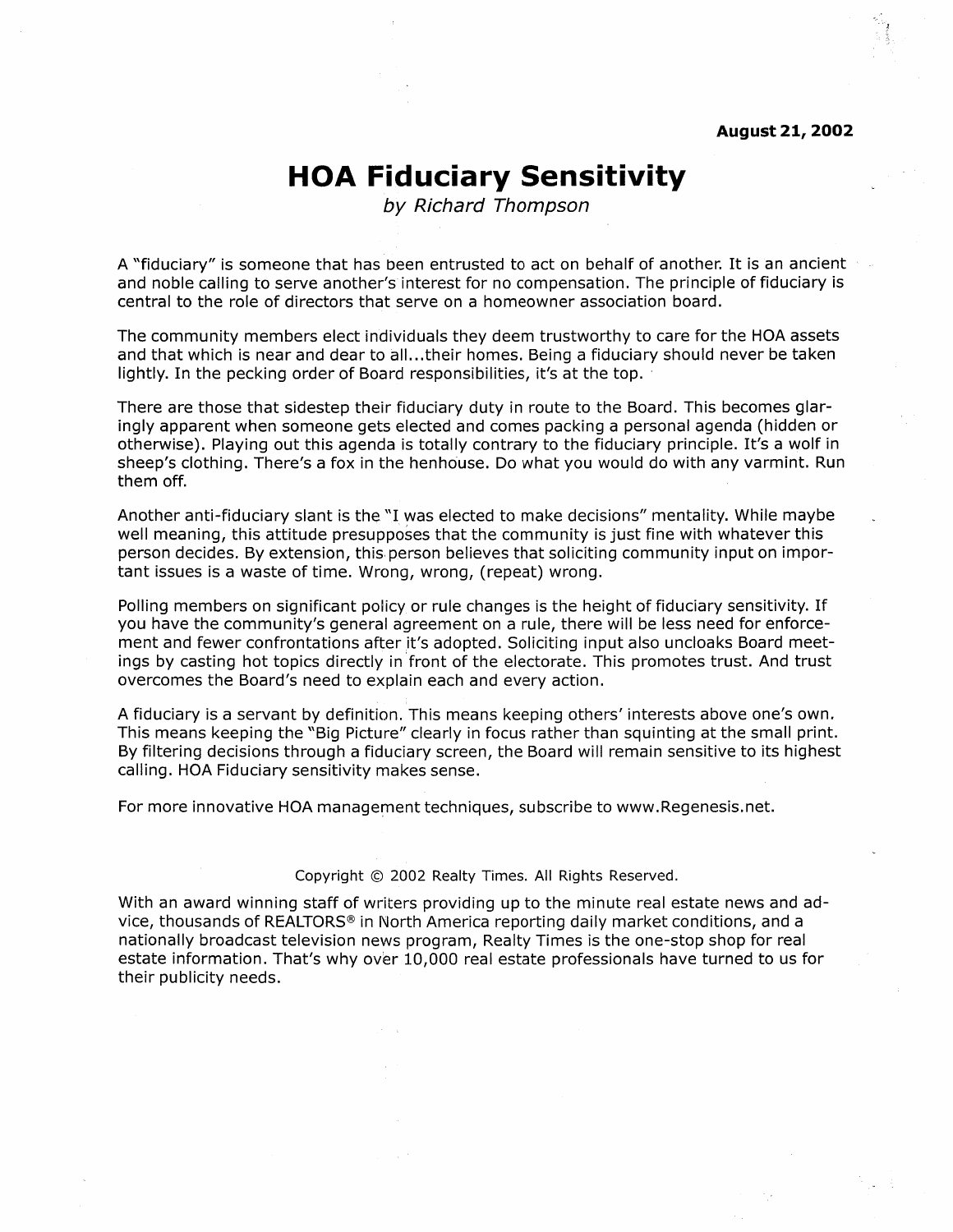**August 21, 2002** 

# **HOA Fiduciary Sensitivity**

by Richard Thompson

A "fiduciary" is someone that has been entrusted to act on behalf of another. It is an ancient and noble calling to serve another's interest for no compensation. The principle of fiduciary is central to the role of directors that serve on a homeowner association board.

The community members elect individuals they deem trustworthy to care for the HOA assets and that which is near and dear to all...their homes. Being a fiduciary should never be taken lightly. In the pecking order of Board responsibilities, it's at the top.

There are those that sidestep their fiduciary duty in route to the Board. This becomes glaringly apparent when someone gets elected and comes packing a personal agenda (hidden or otherwise). Playing out this agenda is totally contrary to the fiduciary principle. It's a wolf in sheep's clothing. There's a fox in the henhouse. Do what you would do with any varmint. Run them off.

Another anti-fiduciary slant is the "I was elected to make decisions" mentality. While maybe well meaning, this attitude presupposes that the community is just fine with whatever this person decides. By extension, this person believes that soliciting community input on important issues is a waste of time. Wrong, wrong, (repeat) wrong.

Polling members on significant policy or rule changes is the height of fiduciary sensitivity. If you have the community's general agreement on a rule, there will be less need for enforcement and fewer confrontations after it's adopted. Soliciting input also uncloaks Board meetings by casting hot topics directly in front of the electorate. This promotes trust. And trust overcomes the Board's need to explain each and every action.

A fiduciary is a servant by definition. This means keeping others' interests above one's own. This means keeping the "Big Picture" clearly in focus rather than squinting at the small print. By filtering decisions through a fiduciary screen, the Board will remain sensitive to its highest calling. HOA Fiduciary sensitivity makes sense.

For more innovative HOA management techniques, subscribe to www. Regenesis.net.

#### Copyright © 2002 Realty Times. All Rights Reserved.

With an award winning staff of writers providing up to the minute real estate news and advice, thousands of REALTORS® in North America reporting daily market conditions, and a nationally broadcast television news program, Realty Times is the one-stop shop for real estate information. That's why over 10,000 real estate professionals have turned to us for their publicity needs.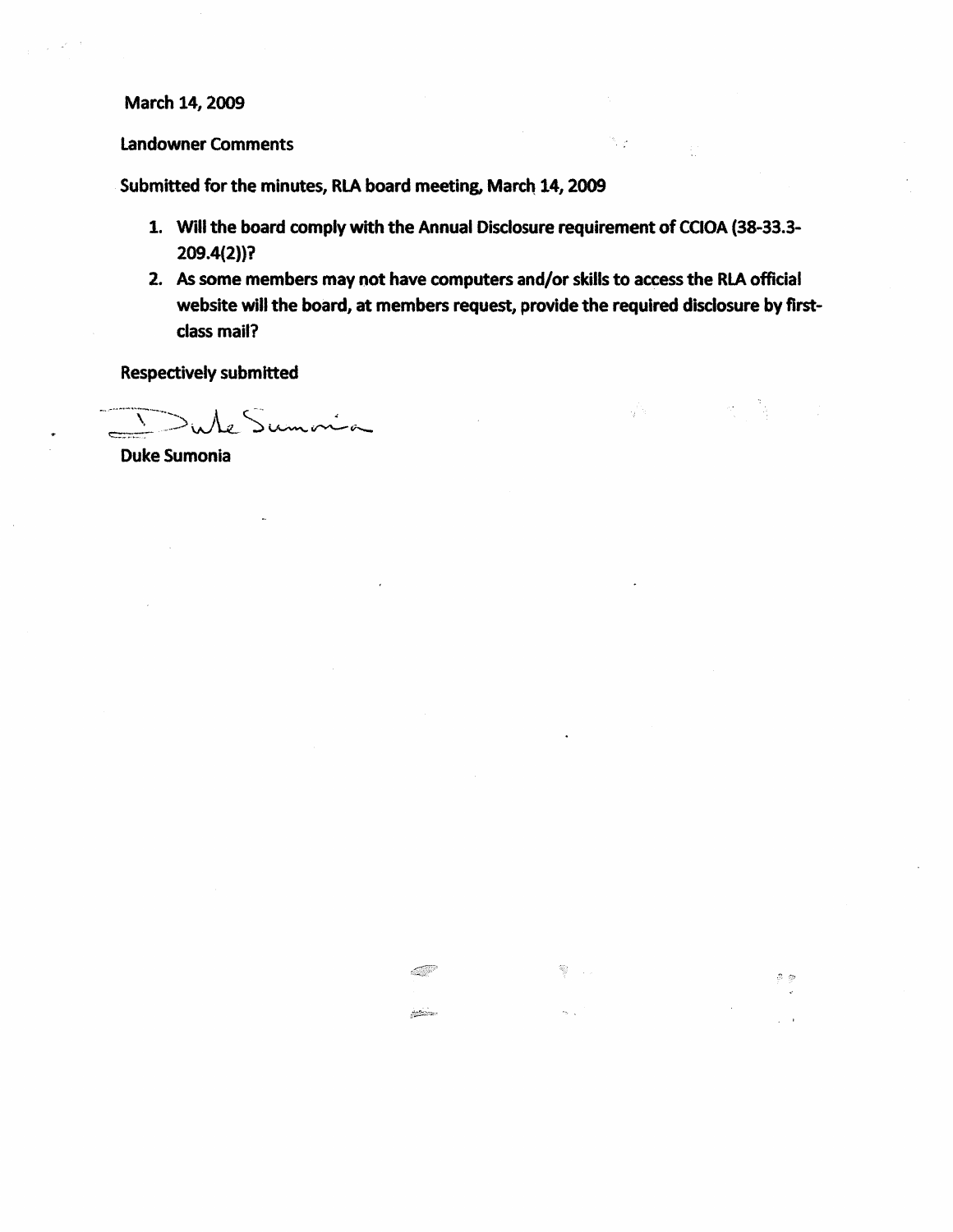## March 14, 2009

#### **Landowner Comments**

Submitted for the minutes, RLA board meeting, March 14, 2009

1. Will the board comply with the Annual Disclosure requirement of CCIOA (38-33.3- $209.4(2)$ ?

 $\frac{d\phi}{dt}$ 

발음 : 1999년 - 1999년<br>대한민국의 대한민국의 대한민국의 대한민국의 대한민국의 대한민국의 기대

 $\beta$  -ga

2. As some members may not have computers and/or skills to access the RLA official website will the board, at members request, provide the required disclosure by firstclass mail?

 $\mathbb{Q}^{\mathbb{CP}}$ 

jakon.

 $\mathbb{R}$  .

ns is

**Respectively submitted** 

Le Sumonia  $\Delta$ 

**Duke Sumonia**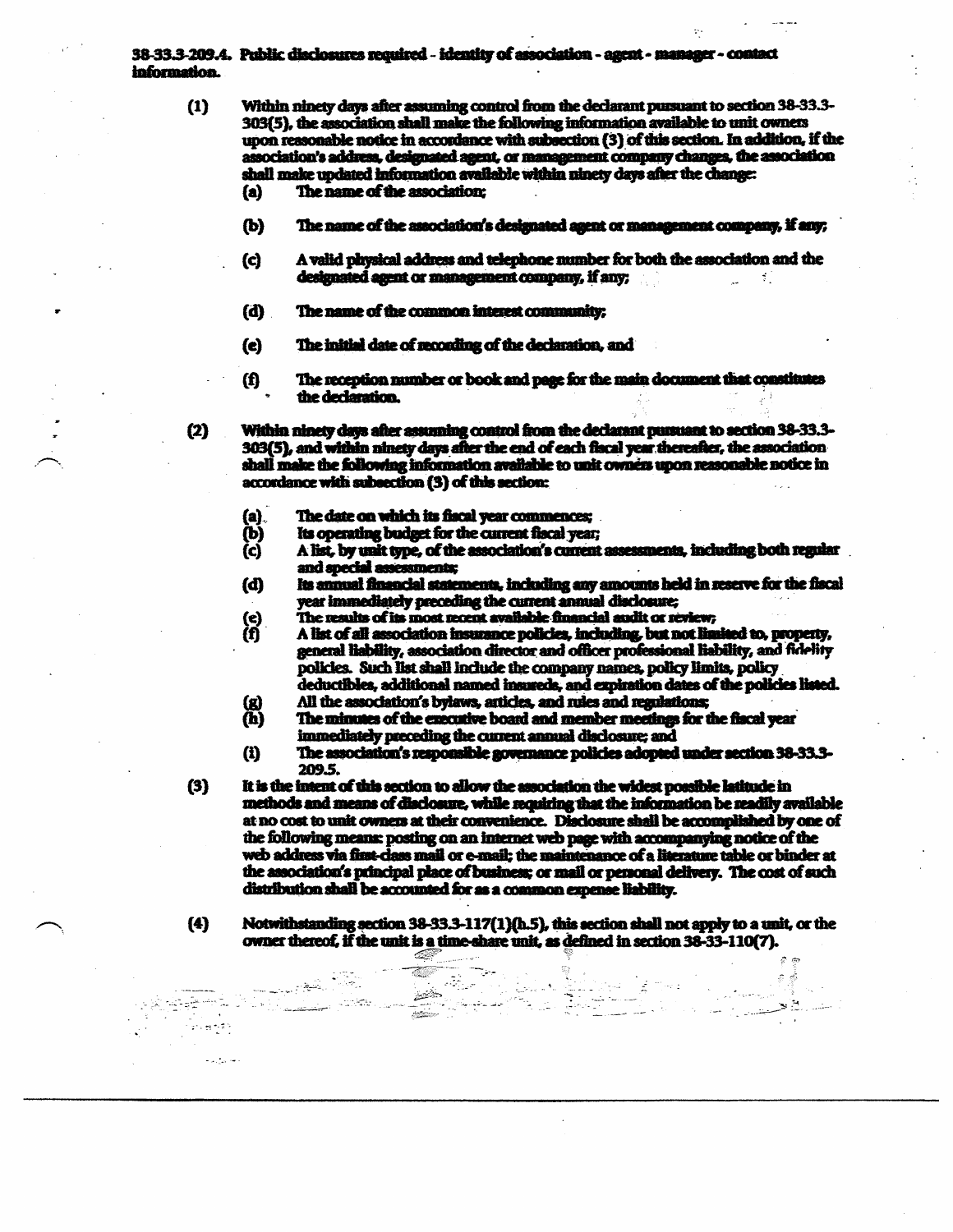38-33.3-209.4. Public disclosures required - identity of association - agent - manager - contact information.

Within ninety days after assuming control from the declarant pursuant to section 38-33.3- $(1)$ 303(5), the association shall make the following information available to unit owners upon reasonable notice in accordance with subsection (3) of this section. In addition, if the association's address, designated agent, or management company changes, the association shall make updated information available within ninety days after the change:

- The name of the association: (a)
- The name of the association's designated agent or management company, if any; (b)
- A valid physical address and telephone number for both the association and the  $\mathbf{c}$ designated agent or management company, if any;
- The name of the common interest community; (d)
- The initial date of recording of the declaration, and  $(e)$
- The reception number or book and page for the main document that constitutes  $\mathbf{f}$ the declaration.

 $(2)$ Within ninety days after assuming control from the declarant pursuant to section 38-33.3-303(5), and within ninety days after the end of each fiscal year thereafter, the association shall make the following information available to unit owners upon reasonable notice in accordance with subsection (3) of this section:

The date on which its fiscal year commences;  $(a)$ 

 $(4)$ 

-25년~~호 ()  $\sigma$  ,  $\sigma$  ,  $\sigma$  )

وسابري والم

- Its operating budget for the current fiscal year; (b)
- A list, by unit type, of the association's current assessments, including both regular  $(c)$ and special assessments:
- Its annual financial statements, including any amounts held in reserve for the fiscal (d) year immediately preceding the current annual disclosure;
- The results of its most recent available financial audit or review;
- (e)<br>(f) A list of all association insurance policies, including, but not limited to, property, general liability, association director and officer professional liability, and fidelity policies. Such list shall include the company names, policy limits, policy deductibles, additional named insureds, and expiration dates of the policies listed.
- $\begin{pmatrix} 0 \\ 0 \end{pmatrix}$ All the association's bylaws, articles, and rules and regulations;
- The minutes of the executive board and member meetings for the fiscal year immediately preceding the current annual disclosure; and
- The association's responsible governance policies adopted under section 38-33.3- $\bf{a}$ 209.5.

 $(3)$ It is the intent of this section to allow the association the widest possible latitude in methods and means of disclosure, while requiring that the information be readily available at no cost to unit owners at their convenience. Disclosure shall be accomplished by one of the following means: posting on an internet web page with accompanying notice of the web address via first-class mail or e-mail; the maintenance of a literature table or binder at the association's principal place of business; or mail or personal delivery. The cost of such distribution shall be accounted for as a common expense liability.

Notwithstanding section 38-33.3-117(1)(h.5), this section shall not apply to a unit, or the owner thereof, if the unit is a time-share unit, as defined in section 38-33-110(7).  $\frac{1}{\sqrt{2}}$ 

န့်ကွာ

"너 그

ال<br>التربي<del>ة تع</del>لية أكثر إ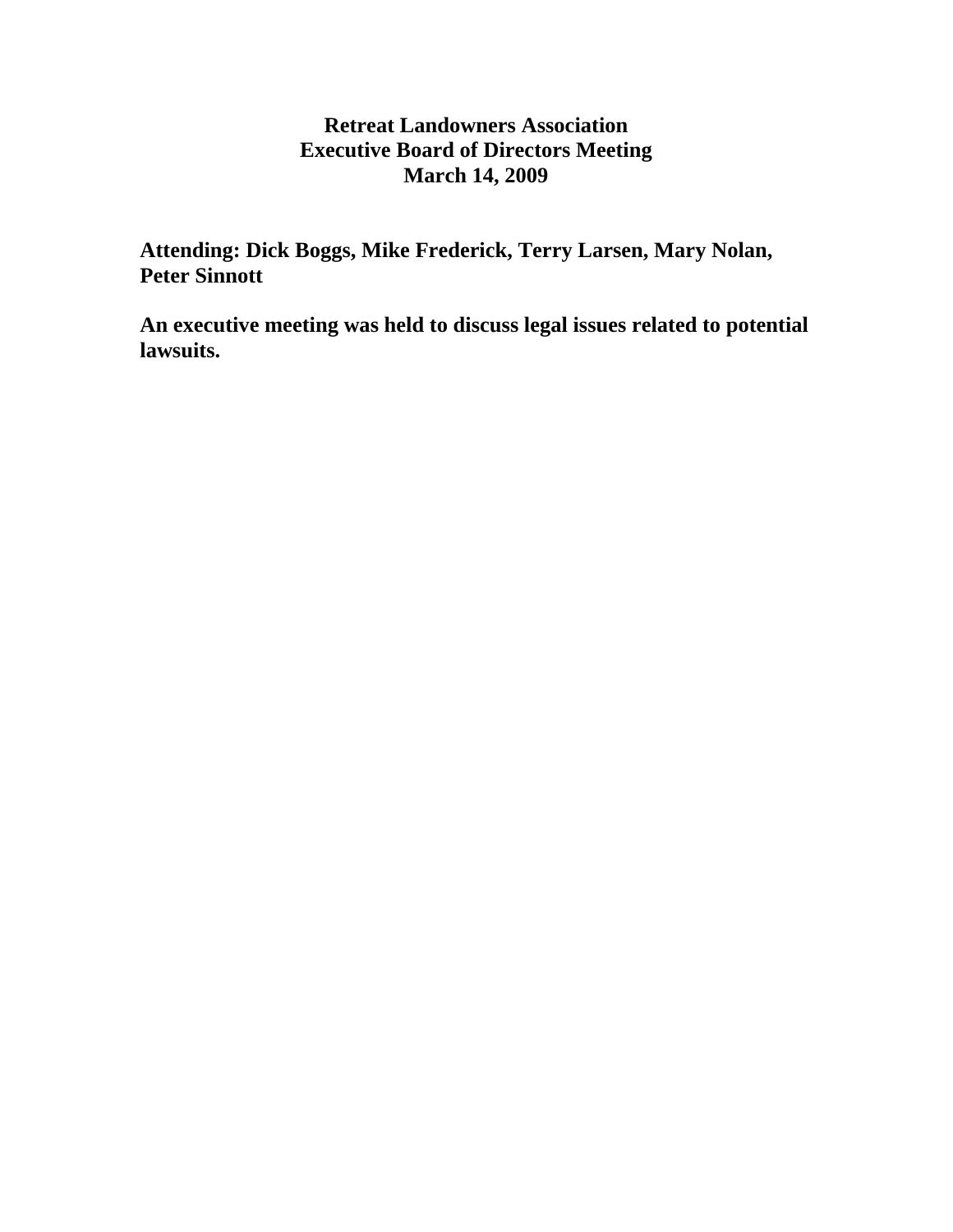# **Retreat Landowners Association Executive Board of Directors Meeting March 14, 2009**

**Attending: Dick Boggs, Mike Frederick, Terry Larsen, Mary Nolan, Peter Sinnott** 

**An executive meeting was held to discuss legal issues related to potential lawsuits.**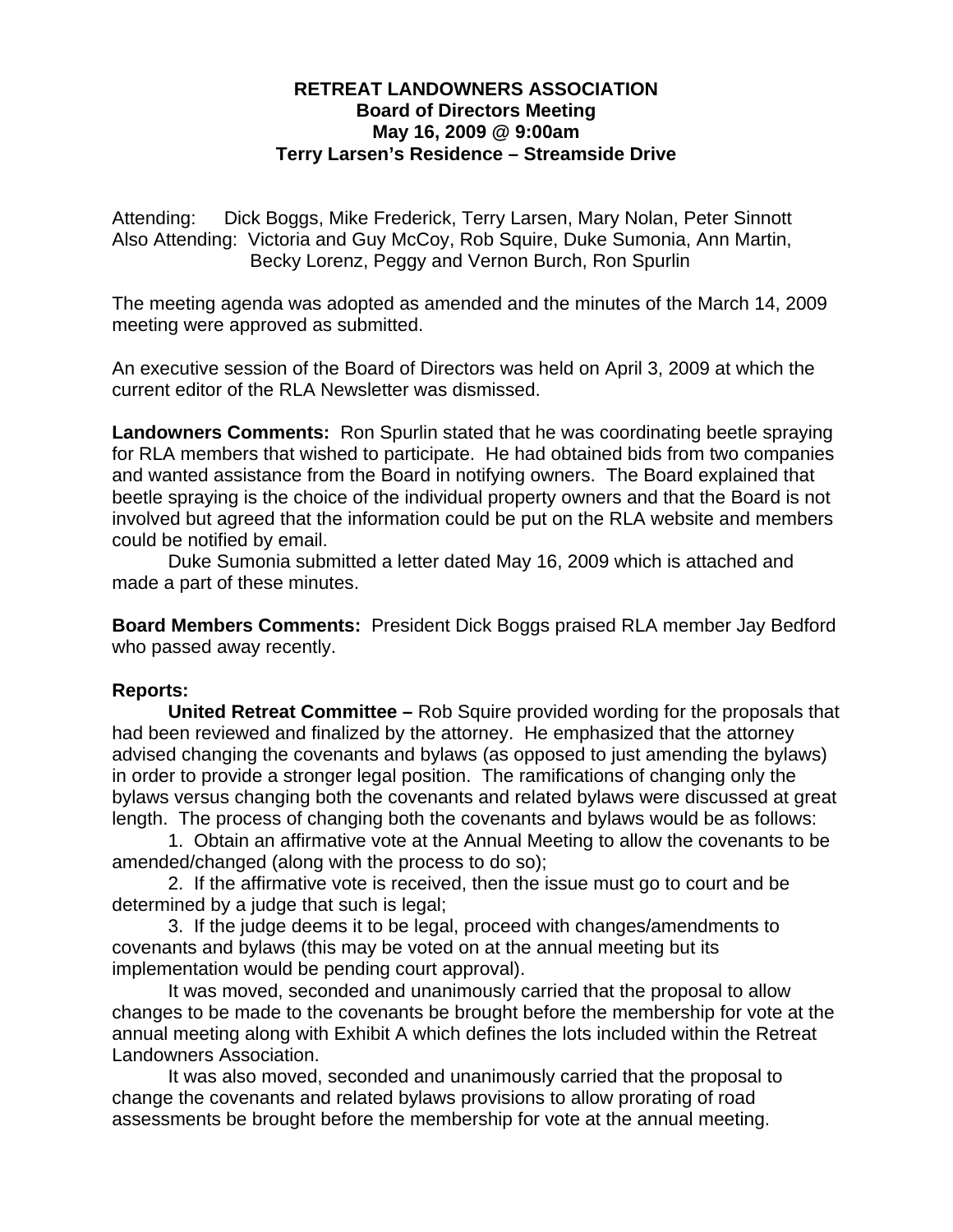# **RETREAT LANDOWNERS ASSOCIATION Board of Directors Meeting May 16, 2009 @ 9:00am Terry Larsen's Residence – Streamside Drive**

Attending: Dick Boggs, Mike Frederick, Terry Larsen, Mary Nolan, Peter Sinnott Also Attending: Victoria and Guy McCoy, Rob Squire, Duke Sumonia, Ann Martin, Becky Lorenz, Peggy and Vernon Burch, Ron Spurlin

The meeting agenda was adopted as amended and the minutes of the March 14, 2009 meeting were approved as submitted.

An executive session of the Board of Directors was held on April 3, 2009 at which the current editor of the RLA Newsletter was dismissed.

**Landowners Comments:** Ron Spurlin stated that he was coordinating beetle spraying for RLA members that wished to participate. He had obtained bids from two companies and wanted assistance from the Board in notifying owners. The Board explained that beetle spraying is the choice of the individual property owners and that the Board is not involved but agreed that the information could be put on the RLA website and members could be notified by email.

 Duke Sumonia submitted a letter dated May 16, 2009 which is attached and made a part of these minutes.

**Board Members Comments:** President Dick Boggs praised RLA member Jay Bedford who passed away recently.

# **Reports:**

 **United Retreat Committee –** Rob Squire provided wording for the proposals that had been reviewed and finalized by the attorney. He emphasized that the attorney advised changing the covenants and bylaws (as opposed to just amending the bylaws) in order to provide a stronger legal position. The ramifications of changing only the bylaws versus changing both the covenants and related bylaws were discussed at great length. The process of changing both the covenants and bylaws would be as follows:

 1. Obtain an affirmative vote at the Annual Meeting to allow the covenants to be amended/changed (along with the process to do so);

 2. If the affirmative vote is received, then the issue must go to court and be determined by a judge that such is legal;

 3. If the judge deems it to be legal, proceed with changes/amendments to covenants and bylaws (this may be voted on at the annual meeting but its implementation would be pending court approval).

 It was moved, seconded and unanimously carried that the proposal to allow changes to be made to the covenants be brought before the membership for vote at the annual meeting along with Exhibit A which defines the lots included within the Retreat Landowners Association.

 It was also moved, seconded and unanimously carried that the proposal to change the covenants and related bylaws provisions to allow prorating of road assessments be brought before the membership for vote at the annual meeting.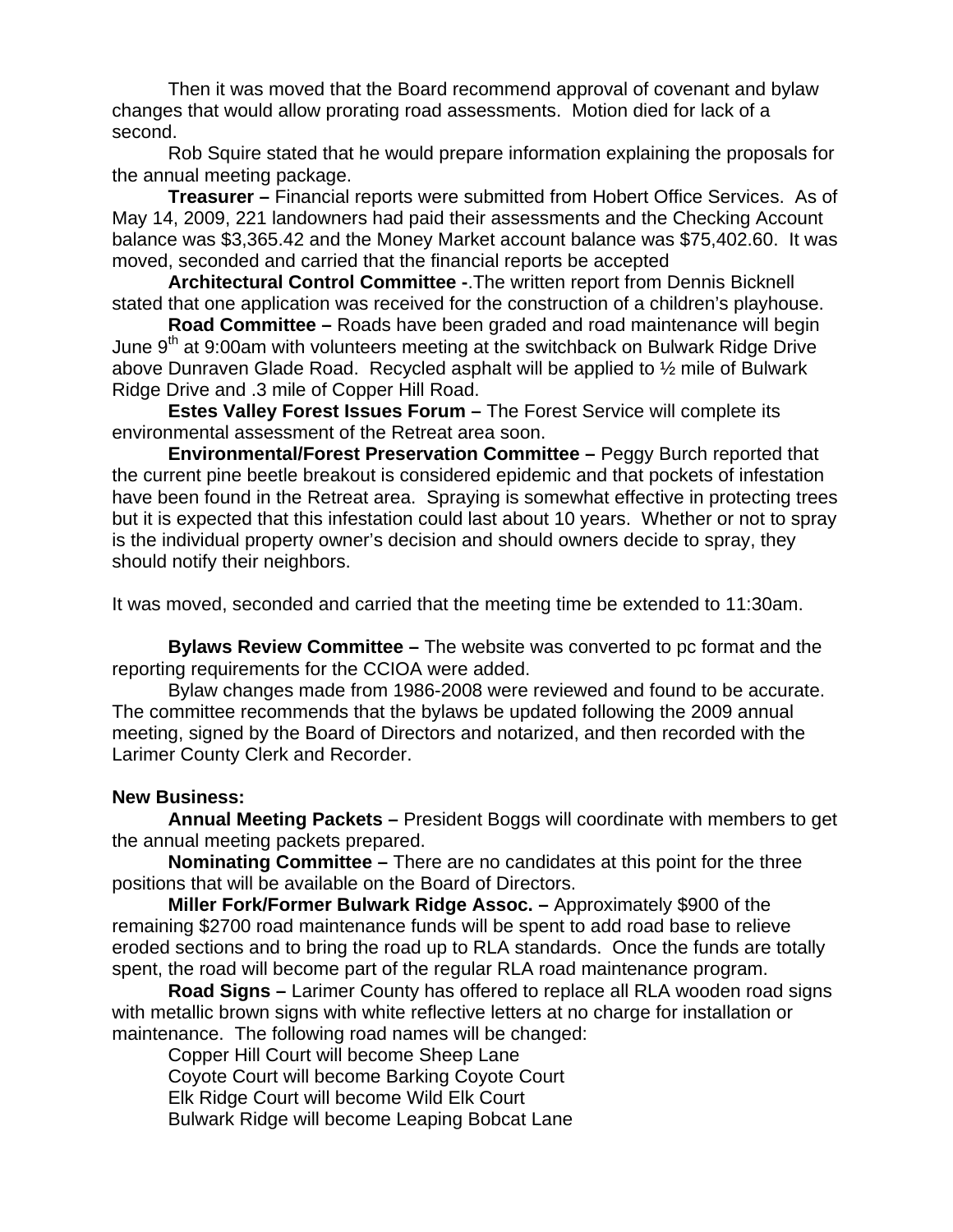Then it was moved that the Board recommend approval of covenant and bylaw changes that would allow prorating road assessments. Motion died for lack of a second.

 Rob Squire stated that he would prepare information explaining the proposals for the annual meeting package.

 **Treasurer –** Financial reports were submitted from Hobert Office Services. As of May 14, 2009, 221 landowners had paid their assessments and the Checking Account balance was \$3,365.42 and the Money Market account balance was \$75,402.60. It was moved, seconded and carried that the financial reports be accepted

 **Architectural Control Committee -**.The written report from Dennis Bicknell stated that one application was received for the construction of a children's playhouse.

**Road Committee –** Roads have been graded and road maintenance will begin June  $9<sup>th</sup>$  at 9:00am with volunteers meeting at the switchback on Bulwark Ridge Drive above Dunraven Glade Road. Recycled asphalt will be applied to ½ mile of Bulwark Ridge Drive and .3 mile of Copper Hill Road.

**Estes Valley Forest Issues Forum –** The Forest Service will complete its environmental assessment of the Retreat area soon.

**Environmental/Forest Preservation Committee –** Peggy Burch reported that the current pine beetle breakout is considered epidemic and that pockets of infestation have been found in the Retreat area. Spraying is somewhat effective in protecting trees but it is expected that this infestation could last about 10 years. Whether or not to spray is the individual property owner's decision and should owners decide to spray, they should notify their neighbors.

It was moved, seconded and carried that the meeting time be extended to 11:30am.

**Bylaws Review Committee –** The website was converted to pc format and the reporting requirements for the CCIOA were added.

 Bylaw changes made from 1986-2008 were reviewed and found to be accurate. The committee recommends that the bylaws be updated following the 2009 annual meeting, signed by the Board of Directors and notarized, and then recorded with the Larimer County Clerk and Recorder.

## **New Business:**

 **Annual Meeting Packets –** President Boggs will coordinate with members to get the annual meeting packets prepared.

 **Nominating Committee –** There are no candidates at this point for the three positions that will be available on the Board of Directors.

**Miller Fork/Former Bulwark Ridge Assoc. –** Approximately \$900 of the remaining \$2700 road maintenance funds will be spent to add road base to relieve eroded sections and to bring the road up to RLA standards. Once the funds are totally spent, the road will become part of the regular RLA road maintenance program.

**Road Signs –** Larimer County has offered to replace all RLA wooden road signs with metallic brown signs with white reflective letters at no charge for installation or maintenance. The following road names will be changed:

Copper Hill Court will become Sheep Lane

 Coyote Court will become Barking Coyote Court Elk Ridge Court will become Wild Elk Court

Bulwark Ridge will become Leaping Bobcat Lane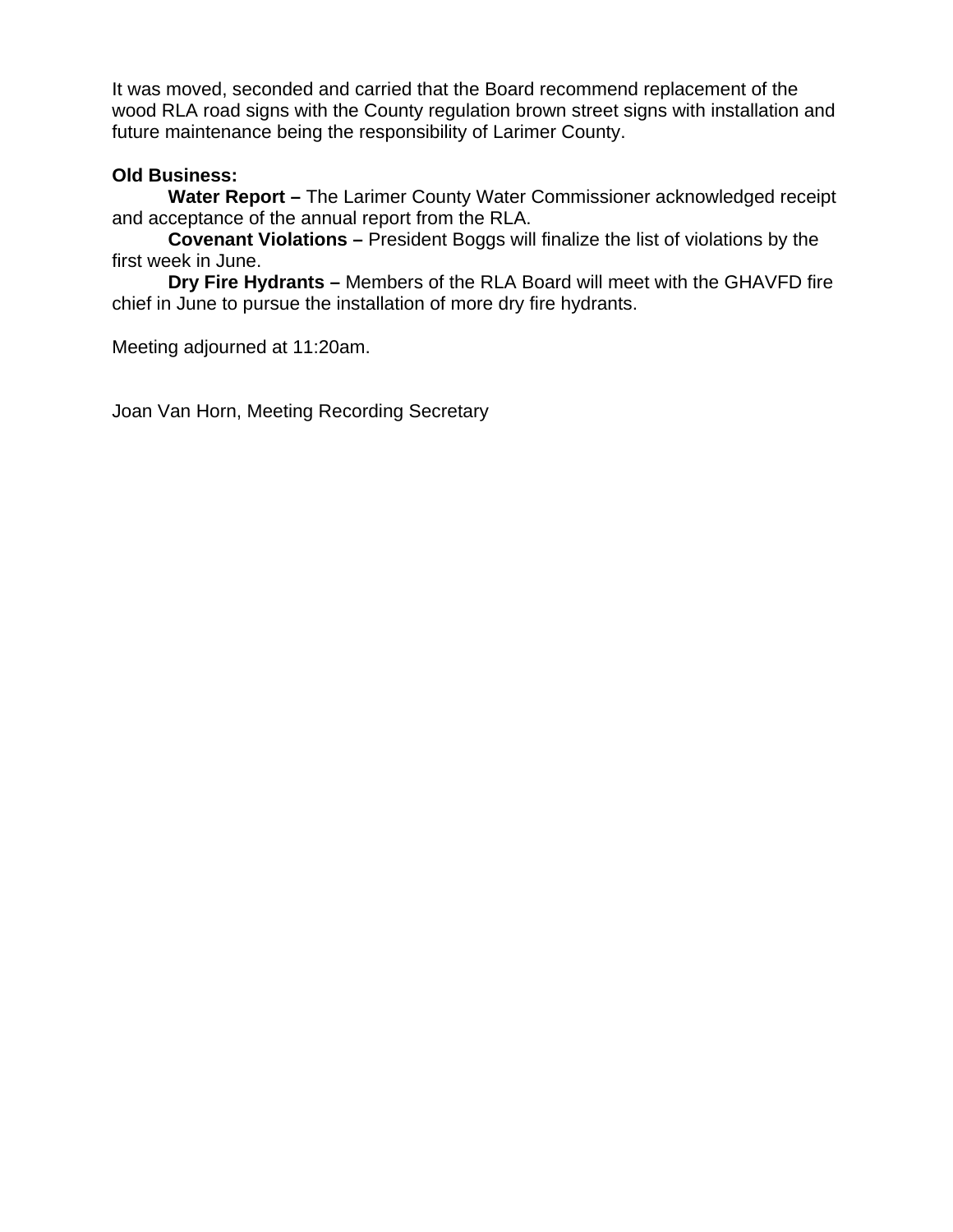It was moved, seconded and carried that the Board recommend replacement of the wood RLA road signs with the County regulation brown street signs with installation and future maintenance being the responsibility of Larimer County.

# **Old Business:**

 **Water Report –** The Larimer County Water Commissioner acknowledged receipt and acceptance of the annual report from the RLA.

 **Covenant Violations –** President Boggs will finalize the list of violations by the first week in June.

**Dry Fire Hydrants –** Members of the RLA Board will meet with the GHAVFD fire chief in June to pursue the installation of more dry fire hydrants.

Meeting adjourned at 11:20am.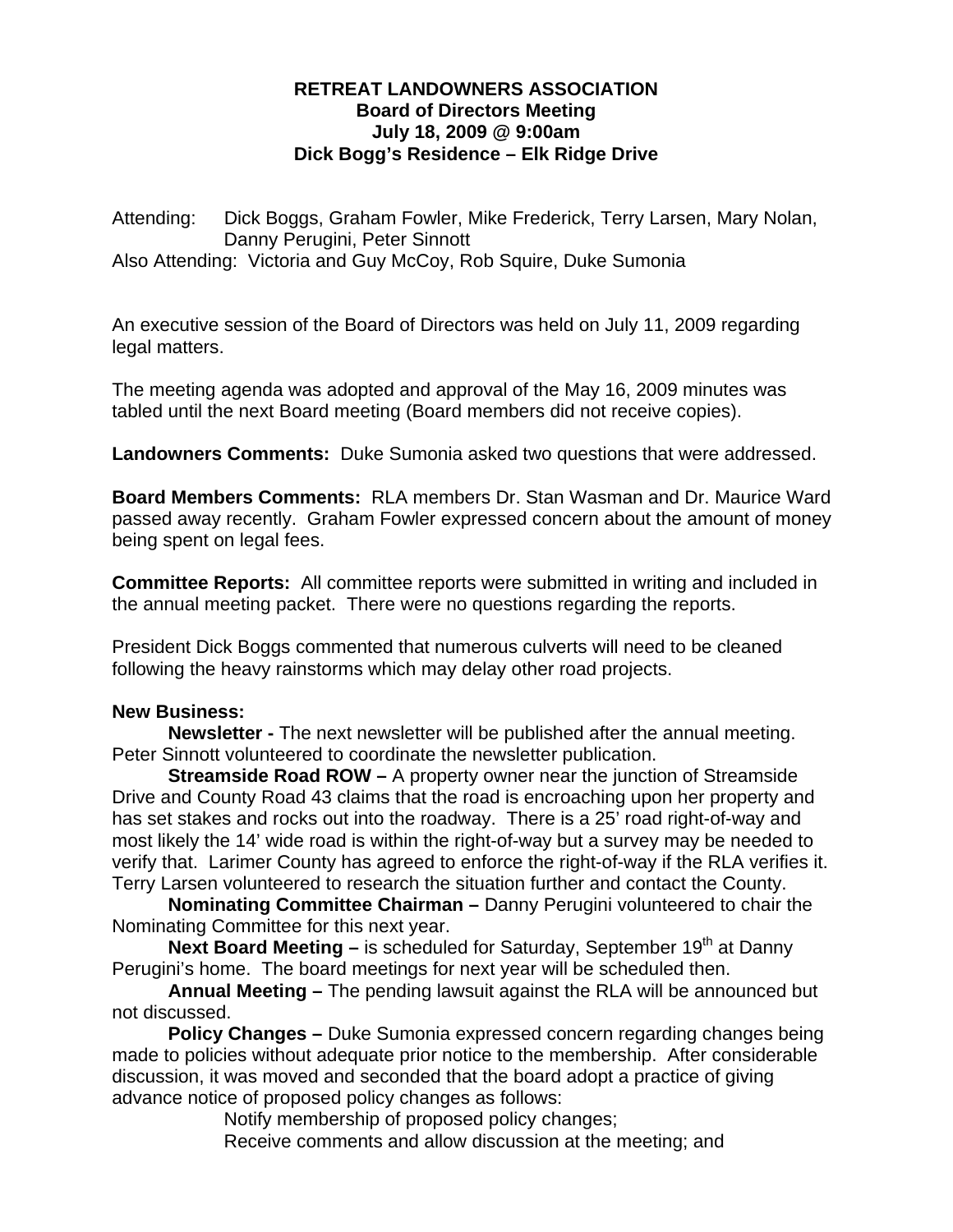# **RETREAT LANDOWNERS ASSOCIATION Board of Directors Meeting July 18, 2009 @ 9:00am Dick Bogg's Residence – Elk Ridge Drive**

Attending: Dick Boggs, Graham Fowler, Mike Frederick, Terry Larsen, Mary Nolan, Danny Perugini, Peter Sinnott Also Attending: Victoria and Guy McCoy, Rob Squire, Duke Sumonia

An executive session of the Board of Directors was held on July 11, 2009 regarding legal matters.

The meeting agenda was adopted and approval of the May 16, 2009 minutes was tabled until the next Board meeting (Board members did not receive copies).

**Landowners Comments:** Duke Sumonia asked two questions that were addressed.

**Board Members Comments:** RLA members Dr. Stan Wasman and Dr. Maurice Ward passed away recently. Graham Fowler expressed concern about the amount of money being spent on legal fees.

**Committee Reports:** All committee reports were submitted in writing and included in the annual meeting packet. There were no questions regarding the reports.

President Dick Boggs commented that numerous culverts will need to be cleaned following the heavy rainstorms which may delay other road projects.

# **New Business:**

 **Newsletter -** The next newsletter will be published after the annual meeting. Peter Sinnott volunteered to coordinate the newsletter publication.

**Streamside Road ROW –** A property owner near the junction of Streamside Drive and County Road 43 claims that the road is encroaching upon her property and has set stakes and rocks out into the roadway. There is a 25' road right-of-way and most likely the 14' wide road is within the right-of-way but a survey may be needed to verify that. Larimer County has agreed to enforce the right-of-way if the RLA verifies it. Terry Larsen volunteered to research the situation further and contact the County.

**Nominating Committee Chairman –** Danny Perugini volunteered to chair the Nominating Committee for this next year.

**Next Board Meeting –** is scheduled for Saturday, September 19<sup>th</sup> at Danny Perugini's home. The board meetings for next year will be scheduled then.

**Annual Meeting –** The pending lawsuit against the RLA will be announced but not discussed.

**Policy Changes –** Duke Sumonia expressed concern regarding changes being made to policies without adequate prior notice to the membership. After considerable discussion, it was moved and seconded that the board adopt a practice of giving advance notice of proposed policy changes as follows:

Notify membership of proposed policy changes;

Receive comments and allow discussion at the meeting; and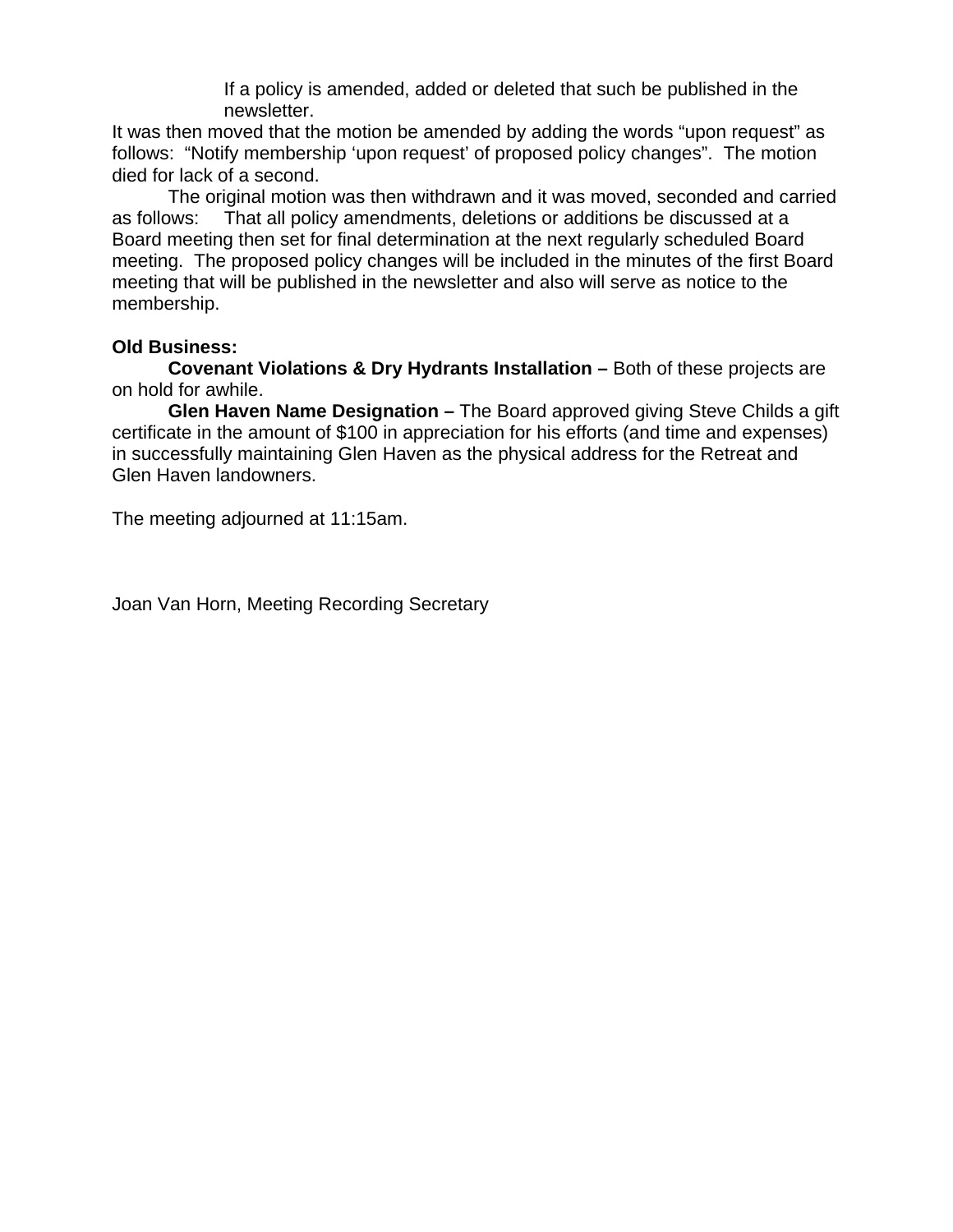If a policy is amended, added or deleted that such be published in the newsletter.

It was then moved that the motion be amended by adding the words "upon request" as follows: "Notify membership 'upon request' of proposed policy changes". The motion died for lack of a second.

 The original motion was then withdrawn and it was moved, seconded and carried as follows: That all policy amendments, deletions or additions be discussed at a Board meeting then set for final determination at the next regularly scheduled Board meeting. The proposed policy changes will be included in the minutes of the first Board meeting that will be published in the newsletter and also will serve as notice to the membership.

# **Old Business:**

 **Covenant Violations & Dry Hydrants Installation –** Both of these projects are on hold for awhile.

**Glen Haven Name Designation –** The Board approved giving Steve Childs a gift certificate in the amount of \$100 in appreciation for his efforts (and time and expenses) in successfully maintaining Glen Haven as the physical address for the Retreat and Glen Haven landowners.

The meeting adjourned at 11:15am.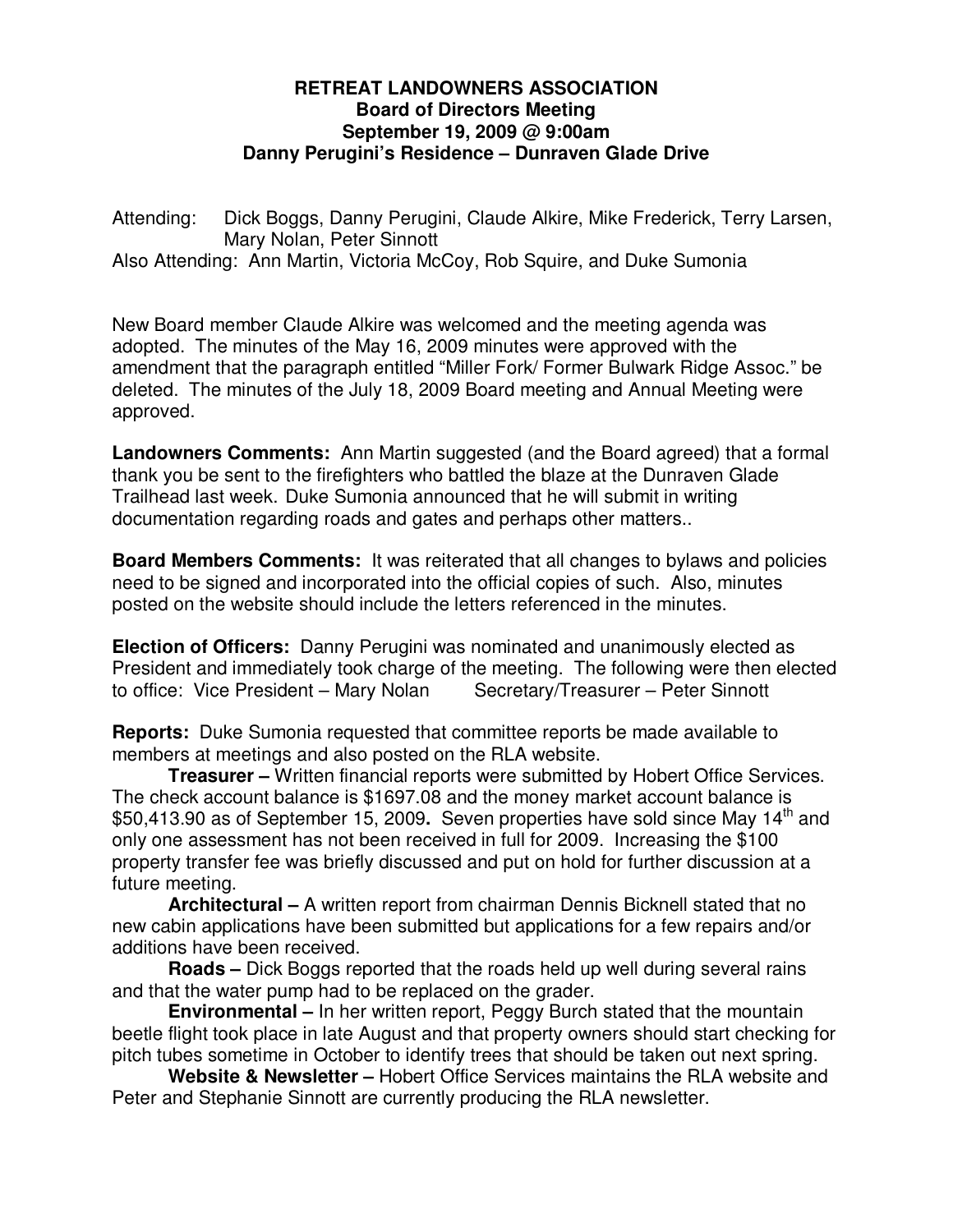# **RETREAT LANDOWNERS ASSOCIATION Board of Directors Meeting September 19, 2009 @ 9:00am Danny Perugini's Residence – Dunraven Glade Drive**

Attending: Dick Boggs, Danny Perugini, Claude Alkire, Mike Frederick, Terry Larsen, Mary Nolan, Peter Sinnott Also Attending: Ann Martin, Victoria McCoy, Rob Squire, and Duke Sumonia

New Board member Claude Alkire was welcomed and the meeting agenda was adopted. The minutes of the May 16, 2009 minutes were approved with the amendment that the paragraph entitled "Miller Fork/ Former Bulwark Ridge Assoc." be deleted. The minutes of the July 18, 2009 Board meeting and Annual Meeting were approved.

**Landowners Comments:** Ann Martin suggested (and the Board agreed) that a formal thank you be sent to the firefighters who battled the blaze at the Dunraven Glade Trailhead last week. Duke Sumonia announced that he will submit in writing documentation regarding roads and gates and perhaps other matters..

**Board Members Comments:** It was reiterated that all changes to bylaws and policies need to be signed and incorporated into the official copies of such. Also, minutes posted on the website should include the letters referenced in the minutes.

**Election of Officers:** Danny Perugini was nominated and unanimously elected as President and immediately took charge of the meeting. The following were then elected to office: Vice President – Mary Nolan Secretary/Treasurer – Peter Sinnott

**Reports:** Duke Sumonia requested that committee reports be made available to members at meetings and also posted on the RLA website.

**Treasurer –** Written financial reports were submitted by Hobert Office Services. The check account balance is \$1697.08 and the money market account balance is \$50,413.90 as of September 15, 2009**.** Seven properties have sold since May 14th and only one assessment has not been received in full for 2009. Increasing the \$100 property transfer fee was briefly discussed and put on hold for further discussion at a future meeting.

**Architectural –** A written report from chairman Dennis Bicknell stated that no new cabin applications have been submitted but applications for a few repairs and/or additions have been received.

**Roads –** Dick Boggs reported that the roads held up well during several rains and that the water pump had to be replaced on the grader.

**Environmental –** In her written report, Peggy Burch stated that the mountain beetle flight took place in late August and that property owners should start checking for pitch tubes sometime in October to identify trees that should be taken out next spring.

**Website & Newsletter –** Hobert Office Services maintains the RLA website and Peter and Stephanie Sinnott are currently producing the RLA newsletter.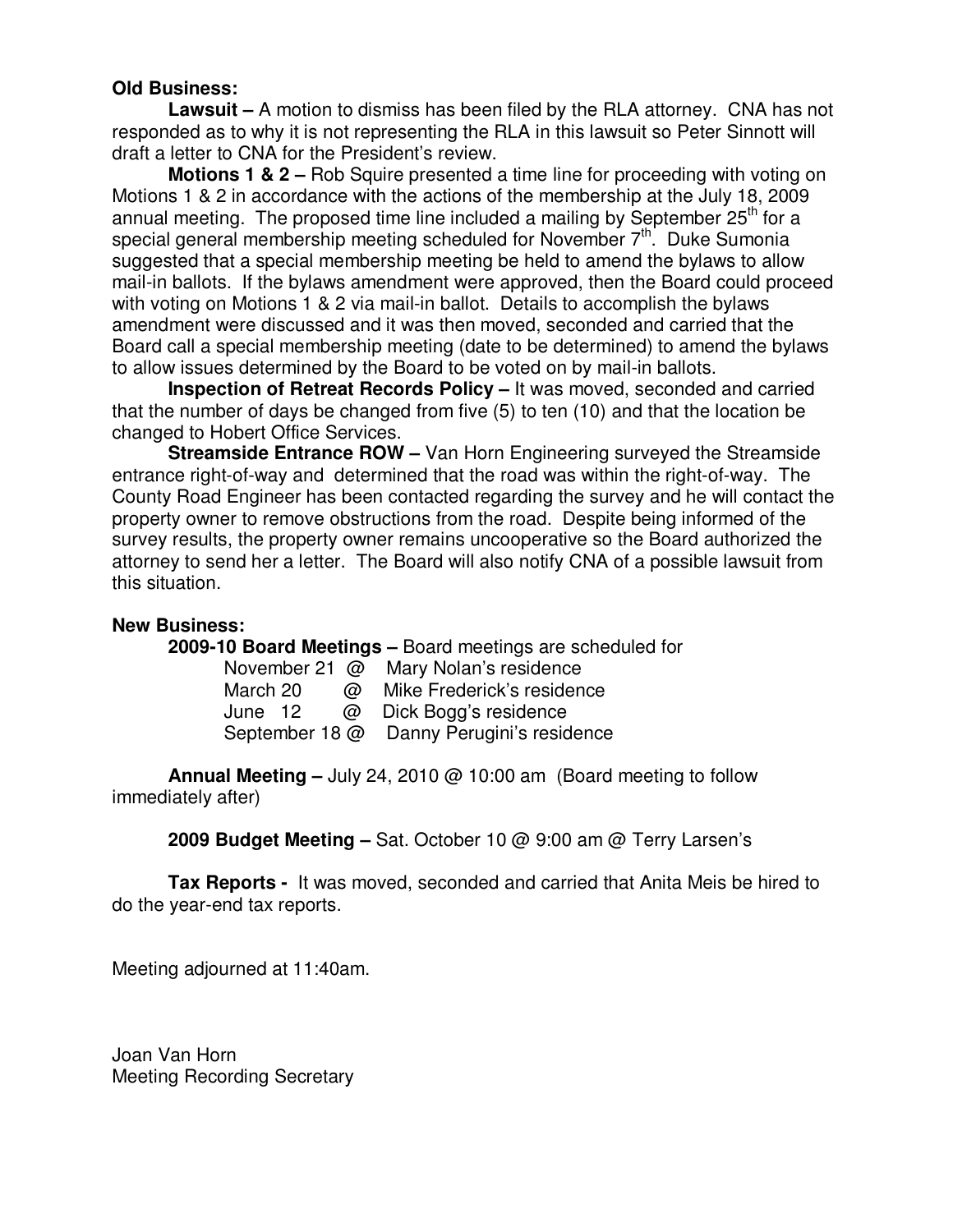# **Old Business:**

 **Lawsuit –** A motion to dismiss has been filed by the RLA attorney. CNA has not responded as to why it is not representing the RLA in this lawsuit so Peter Sinnott will draft a letter to CNA for the President's review.

**Motions 1 & 2 –** Rob Squire presented a time line for proceeding with voting on Motions 1 & 2 in accordance with the actions of the membership at the July 18, 2009 annual meeting. The proposed time line included a mailing by September  $25<sup>th</sup>$  for a special general membership meeting scheduled for November 7<sup>th</sup>. Duke Sumonia suggested that a special membership meeting be held to amend the bylaws to allow mail-in ballots. If the bylaws amendment were approved, then the Board could proceed with voting on Motions 1 & 2 via mail-in ballot. Details to accomplish the bylaws amendment were discussed and it was then moved, seconded and carried that the Board call a special membership meeting (date to be determined) to amend the bylaws to allow issues determined by the Board to be voted on by mail-in ballots.

**Inspection of Retreat Records Policy –** It was moved, seconded and carried that the number of days be changed from five (5) to ten (10) and that the location be changed to Hobert Office Services.

**Streamside Entrance ROW –** Van Horn Engineering surveyed the Streamside entrance right-of-way and determined that the road was within the right-of-way. The County Road Engineer has been contacted regarding the survey and he will contact the property owner to remove obstructions from the road. Despite being informed of the survey results, the property owner remains uncooperative so the Board authorized the attorney to send her a letter. The Board will also notify CNA of a possible lawsuit from this situation.

# **New Business:**

 **2009-10 Board Meetings –** Board meetings are scheduled for

|                |          | November 21 @ Mary Nolan's residence |
|----------------|----------|--------------------------------------|
| March 20       | $\omega$ | Mike Frederick's residence           |
| June 12        |          | @ Dick Bogg's residence              |
| September 18 @ |          | Danny Perugini's residence           |

**Annual Meeting –** July 24, 2010 @ 10:00 am (Board meeting to follow immediately after)

**2009 Budget Meeting –** Sat. October 10 @ 9:00 am @ Terry Larsen's

**Tax Reports -** It was moved, seconded and carried that Anita Meis be hired to do the year-end tax reports.

Meeting adjourned at 11:40am.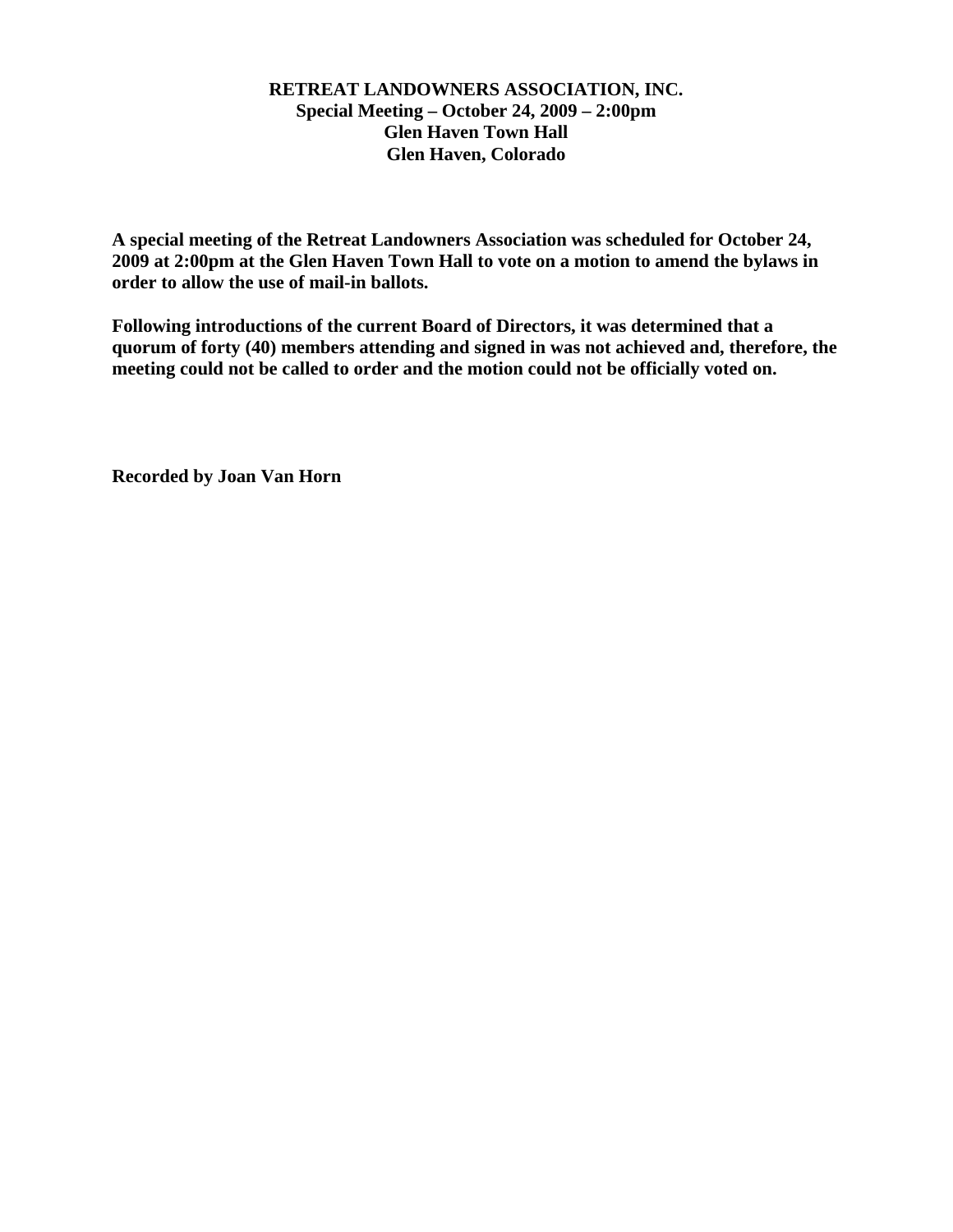# **RETREAT LANDOWNERS ASSOCIATION, INC. Special Meeting – October 24, 2009 – 2:00pm Glen Haven Town Hall Glen Haven, Colorado**

**A special meeting of the Retreat Landowners Association was scheduled for October 24, 2009 at 2:00pm at the Glen Haven Town Hall to vote on a motion to amend the bylaws in order to allow the use of mail-in ballots.** 

**Following introductions of the current Board of Directors, it was determined that a quorum of forty (40) members attending and signed in was not achieved and, therefore, the meeting could not be called to order and the motion could not be officially voted on.** 

**Recorded by Joan Van Horn**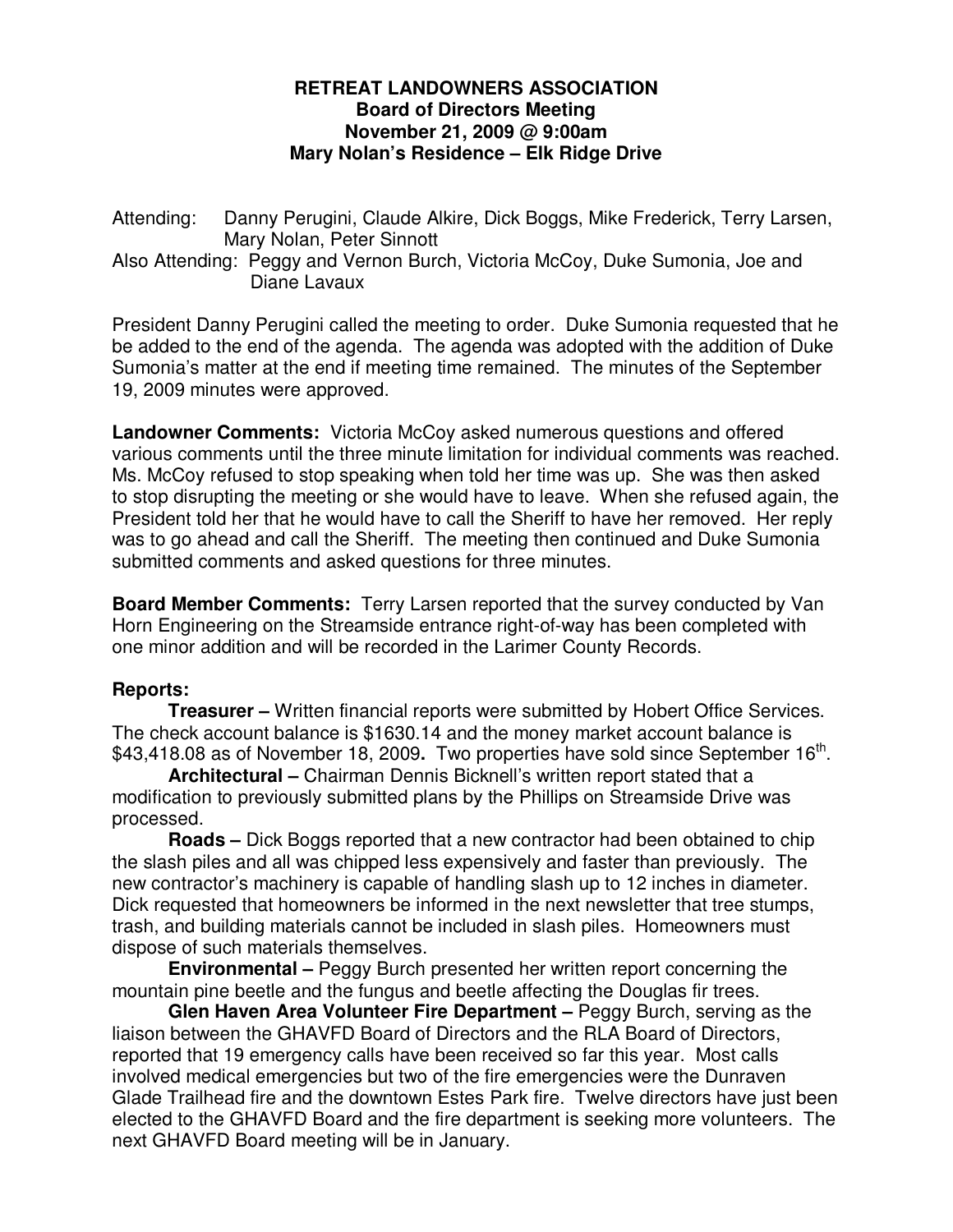# **RETREAT LANDOWNERS ASSOCIATION Board of Directors Meeting November 21, 2009 @ 9:00am Mary Nolan's Residence – Elk Ridge Drive**

Attending: Danny Perugini, Claude Alkire, Dick Boggs, Mike Frederick, Terry Larsen, Mary Nolan, Peter Sinnott Also Attending: Peggy and Vernon Burch, Victoria McCoy, Duke Sumonia, Joe and

Diane Lavaux

President Danny Perugini called the meeting to order. Duke Sumonia requested that he be added to the end of the agenda. The agenda was adopted with the addition of Duke Sumonia's matter at the end if meeting time remained. The minutes of the September 19, 2009 minutes were approved.

**Landowner Comments:** Victoria McCoy asked numerous questions and offered various comments until the three minute limitation for individual comments was reached. Ms. McCoy refused to stop speaking when told her time was up. She was then asked to stop disrupting the meeting or she would have to leave. When she refused again, the President told her that he would have to call the Sheriff to have her removed. Her reply was to go ahead and call the Sheriff. The meeting then continued and Duke Sumonia submitted comments and asked questions for three minutes.

**Board Member Comments:** Terry Larsen reported that the survey conducted by Van Horn Engineering on the Streamside entrance right-of-way has been completed with one minor addition and will be recorded in the Larimer County Records.

# **Reports:**

**Treasurer –** Written financial reports were submitted by Hobert Office Services. The check account balance is \$1630.14 and the money market account balance is \$43,418.08 as of November 18, 2009. Two properties have sold since September 16<sup>th</sup>.

**Architectural –** Chairman Dennis Bicknell's written report stated that a modification to previously submitted plans by the Phillips on Streamside Drive was processed.

**Roads –** Dick Boggs reported that a new contractor had been obtained to chip the slash piles and all was chipped less expensively and faster than previously. The new contractor's machinery is capable of handling slash up to 12 inches in diameter. Dick requested that homeowners be informed in the next newsletter that tree stumps, trash, and building materials cannot be included in slash piles. Homeowners must dispose of such materials themselves.

**Environmental –** Peggy Burch presented her written report concerning the mountain pine beetle and the fungus and beetle affecting the Douglas fir trees.

**Glen Haven Area Volunteer Fire Department –** Peggy Burch, serving as the liaison between the GHAVFD Board of Directors and the RLA Board of Directors, reported that 19 emergency calls have been received so far this year. Most calls involved medical emergencies but two of the fire emergencies were the Dunraven Glade Trailhead fire and the downtown Estes Park fire. Twelve directors have just been elected to the GHAVFD Board and the fire department is seeking more volunteers. The next GHAVFD Board meeting will be in January.